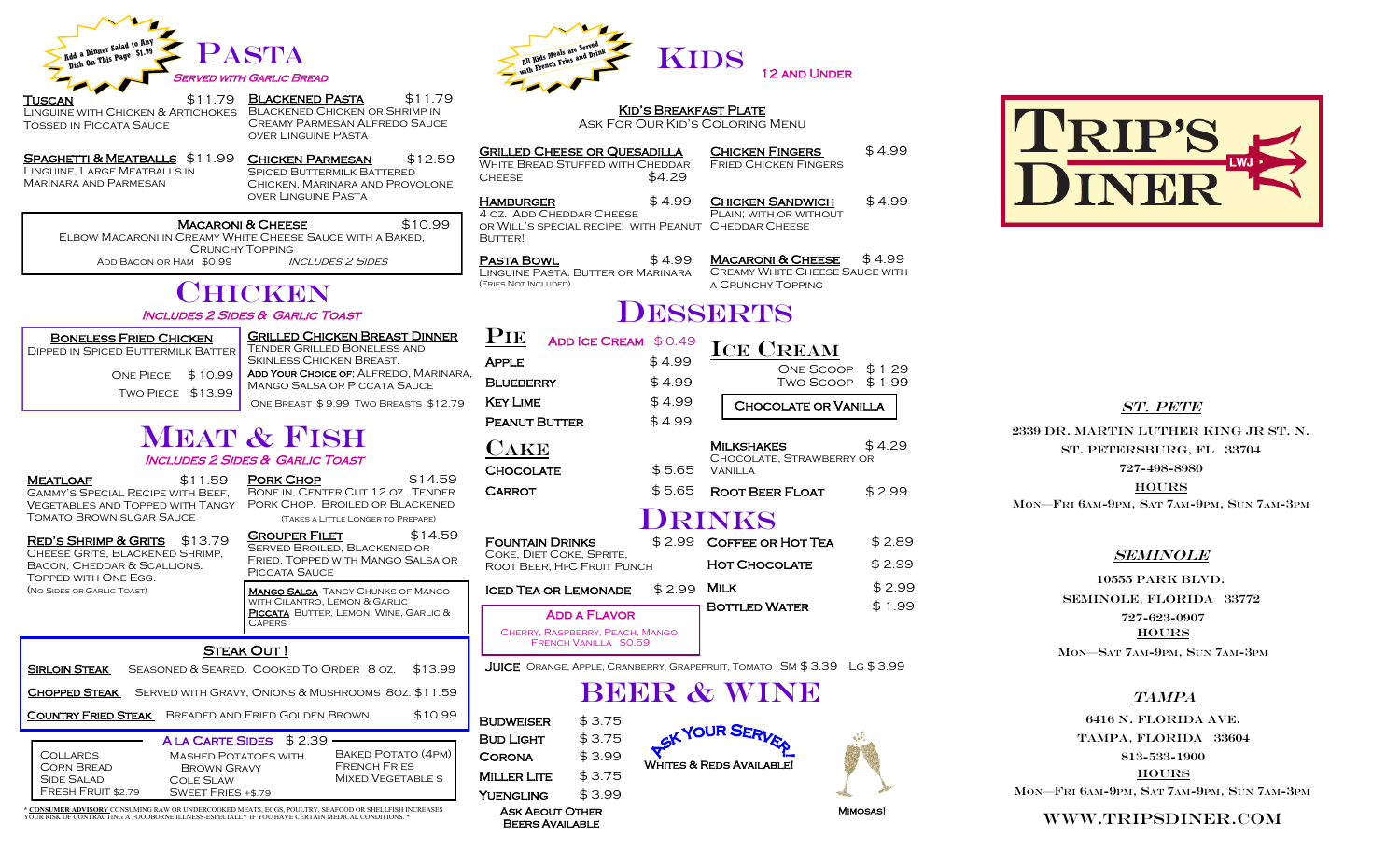

Tuscan \$11.79 Linguine with Chicken & Artichokes Tossed in Piccata Sauce

BLACKENED PASTA \$11.79 Blackened Chicken or Shrimp in Creamy Parmesan Alfredo Sauce over Linguine Pasta

SPAGHETTI & MEATBALLS \$11.99 Linguine, Large Meatballs in Marinara and Parmesan Chicken Parmesan \$12.59 SPICED BUTTERMILK BATTERED Chicken, Marinara and Provolone over Linguine Pasta

MACARONI & CHEESE \$10.99 Elbow Macaroni in Creamy White Cheese Sauce with a Baked,

Crunchy Topping ADD BACON OR HAM \$0.99 INCLUDES 2 SIDES

## **CHICKEN** Includes 2 Sides & Garlic Toast

### Boneless Fried Chicken Dipped in Spiced Buttermilk Batter Grilled Chicken Breast Dinner Tender Grilled Boneless and Skinless Chicken Breast.

One Piece \$ 10.99 Two Piece \$13.99 Add Your Choice of: Alfredo, Marinara, Mango Salsa or Piccata Sauce One Breast \$ 9.99 Two Breasts \$12.79

## **MEAT & FISH** Includes 2 Sides & Garlic Toast

MEATLOAF \$11.59 Gammy's Special Recipe with Beef, Vegetables and Topped with Tangy Tomato Brown sugar Sauce

Bacon, Cheddar & Scallions. Topped with One Egg. (No Sides or Garlic Toast)

Fresh Fruit \$2.79

**PORK CHOP \$14.59** Bone in, Center Cut 12 oz. Tender Pork Chop. Broiled or Blackened (Takes a Little Longer to Prepare)

GROUPER FILET \$14.59 Served Broiled, Blackened or Fried. Topped with Mango Salsa or Piccata Sauce **MANGO SALSA** TANGY CHUNKS OF MANGO with Cilantro, Lemon & Garlic PICCATA BUTTER, LEMON, WINE, GARLIC & **CAPERS** RED'S SHRIMP & GRITS \$13.79 Cheese Grits, Blackened Shrimp,

### STEAK OUT!

| <b>SIRLOIN STEAK</b>                               | SEASONED & SEARED. COOKED TO ORDER 8 OZ.<br>\$13.99                                                                                            |         |  |  |
|----------------------------------------------------|------------------------------------------------------------------------------------------------------------------------------------------------|---------|--|--|
| <b>CHOPPED STEAK</b>                               | SERVED WITH GRAVY, ONIONS & MUSHROOMS 80Z. \$11.59                                                                                             |         |  |  |
| <b>COUNTRY FRIED STEAK</b>                         | BREADED AND FRIED GOLDEN BROWN                                                                                                                 | \$10.99 |  |  |
|                                                    | A LA CARTE SIDES \$2.39                                                                                                                        |         |  |  |
| COLLARDS<br><b>CORN BREAD</b><br><b>SIDE SALAD</b> | <b>BAKED POTATO (4PM)</b><br><b>MASHED POTATOES WITH</b><br><b>FRENCH FRIES</b><br><b>BROWN GRAVY</b><br><b>MIXED VEGETABLE S</b><br>COLE SLAW |         |  |  |

\* <u>CONSUMER ADVISORY</u> CONSUMING RAW OR UNDERCOOKED MEATS, EGGS, POULTRY, SEAFOOD OR SHELLFISH INCREASES<br>YOUR RISK OF CONTRACTING A FOODBORNE ILLNESS-ESPECIALLY IF YOU HAVE CERTAIN MEDICAL CONDITIONS. \*

Sweet Fries +\$.79



Kid's Breakfast Plate Ask For Our Kid's Coloring Menu

Grilled Cheese or Quesadilla WHITE BREAD STUFFED WITH CHEDDAR  $CHFESE$   $$4.29$ Chicken Fingers \$ 4.99

HAMBURGER \$4.99 4 oz. Add Cheddar Cheese or Will's special recipe: with Peanut Cheddar Cheese BUTTER!

**Pasta Bowl**  $$4.99$ Linguine Pasta. Butter or Marinara (Fries Not Included)

Fried Chicken Fingers

CHICKEN SANDWICH \$4.99 PLAIN; WITH OR WITHOUT

MACARONI & CHEESE  $$4.99$ Creamy White Cheese Sauce with a Crunchy Topping

# **DESSERTS**

| <b>ADD ICE CREAM</b>                                      | \$0.49 | <b>ICE CREAM</b>                                                              |        |
|-----------------------------------------------------------|--------|-------------------------------------------------------------------------------|--------|
| <b>APPLE</b>                                              | \$4.99 | ONE SCOOP \$1.29                                                              |        |
| <b>BLUEBERRY</b>                                          | \$4.99 | Two Scoop                                                                     | \$1.99 |
| <b>KEY LIME</b>                                           | \$4.99 | CHOCOLATE OR VANILLA                                                          |        |
| <b>PEANUT BUTTER</b>                                      | \$4.99 |                                                                               |        |
| <b>CAKE</b><br><b>CHOCOLATE</b>                           | \$5.65 | MILKSHAKES<br>CHOCOLATE, STRAWBERRY OR<br><b>VANILLA</b>                      | \$4.29 |
| <b>CARROT</b>                                             | \$5.65 | ROOT BEER FLOAT                                                               | \$2.99 |
|                                                           |        | <b>DRINKS</b>                                                                 |        |
| <b>FOUNTAIN DRINKS</b>                                    | \$2.99 | COFFEE OR HOT TEA                                                             | \$2.89 |
| COKE, DIET COKE, SPRITE,<br>ROOT BEER, HI-C FRUIT PUNCH   |        | <b>HOT CHOCOLATE</b>                                                          | \$2.99 |
| <b>ICED TEA OR LEMONADE</b>                               | \$2.99 | MILK                                                                          | \$2.99 |
| <b>ADD A FLAVOR</b>                                       |        | <b>BOTTLED WATER</b>                                                          | \$1.99 |
| CHERRY, RASPBERRY, PEACH, MANGO,<br>FRENCH VANILLA \$0.59 |        |                                                                               |        |
|                                                           |        | <b>ILIICE</b> ORANGE APPLE CRANBERRY GRAPEERLIIT TOMATO SM \$ 3 39 LG \$ 3 99 |        |

JUICE OR





## ST. PETE

2339 Dr. Martin Luther King Jr St. N. St. Petersburg, Fl 33704 727-498-8980

**HOURS** 

Mon—Fri 6Am-9pm, Sat 7AM-9PM, Sun 7AM-3PM

### **SEMINOLE**

10555 Park BLVD. SEMINOLE, Florida 33772 727-623-0907 **HOURS** Mon—Sat 7AM-9PM, Sun 7AM-3PM

### TAMPA

6416 N. Florida Ave. Tampa, Florida 33604 813-533-1900 **HOURS** Mon—Fri 6Am-9pm, Sat 7AM-9PM, Sun 7AM-3PM

Www.Tripsdiner.com

Mimosas!